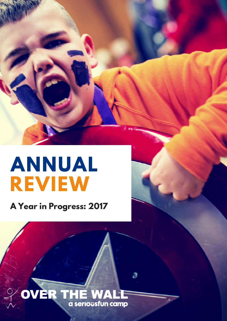# **ANNUAL REVIEW**

**A Year in Progress: 2017**

## *JER THE WAL* a seriousfun camp

А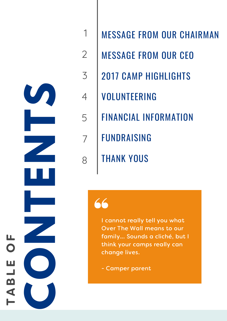

- AIR M A N
- $\overline{2}$ MESSAGE FROM OUR CEO
- $\overline{3}$ 2017 CAMP HIGHLIGHTS
- VOLUNTEERING 1234578
	- FINANCIAL INFORMATION
	- F U N D R AISIN G
		- THANK YOUS

1

annot really tell you what Over The Wall means to our family... Sounds a cliché, but l think your camps really can change lives. MESSAGE FROM OUR CH,<br>MESSAGE FROM OUR CE(<br>2017 CAMP HIGHLIGHTS<br>VOLUNTEERING<br>FINANCIAL INFORMATION<br>FUNDRAISING<br>THANK YOUS<br>THANK YOUS<br>THANK YOUS<br>Cover The Wall means to our<br>family... Sounds a cliché, but I<br>think your camps r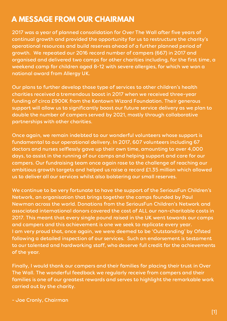## **A MESSAGE FROM OUR CHAIRMAN**

2017 was a year of planned consolidation for Over The Wall after five years of continual growth and provided the opportunity for us to restructure the charity's operational resources and build reserves ahead of a further planned period of growth. We repeated our 2016 record number of campers (667) in 2017 and organised and delivered two camps for other charities including, for the first time, a weekend camp for children aged 8-12 with severe allergies, for which we won a national award from Allergy UK.

Our plans to further develop those type of services to other children's health charities received a tremendous boost in 2017 when we received three-year funding of circa £900K from the Kentown Wizard Foundation. Their generous support will allow us to significantly boost our future service delivery as we plan to double the number of campers served by 2021, mostly through collaborative partnerships with other charities.

Once again, we remain indebted to our wonderful volunteers whose support is fundamental to our operational delivery. In 2017, 607 volunteers including 67 doctors and nurses selflessly gave up their own time, amounting to over 4,000 days, to assist in the running of our camps and helping support and care for our campers. Our fundraising team once again rose to the challenge of reaching our ambitious growth targets and helped us raise a record £1.35 million which allowed us to deliver all our services whilst also bolstering our small reserves.

We continue to be very fortunate to have the support of the SeriousFun Children's Network, an organisation that brings together the camps founded by Paul Newman across the world. Donations from the SeriousFun Children's Network and associated international donors covered the cost of ALL our non-charitable costs in 2017. This meant that every single pound raised in the UK went towards our camps and campers and this achievement is one we seek to replicate every year. I am very proud that, once again, we were deemed to be 'Outstanding' by Ofsted following a detailed inspection of our services. Such an endorsement is testament to our talented and hardworking staff, who deserve full credit for the achievements of the year.

Finally, I would thank our campers and their families for placing their trust in Over The Wall. The wonderful feedback we regularly receive from campers and their families is one of our greatest rewards and serves to highlight the remarkable work carried out by the charity.

- Joe Cronly, Chairman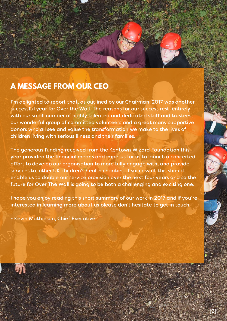## **A MESSAGE FROM OUR CEO**

I'm delighted to report that, as outlined by our Chairman, 2017 was another successful year for Over the Wall. The reasons for our success rest entirely with our small number of highly talented and dedicated staff and trustees, our wonderful group of committed volunteers and a great many supportive donors who all see and value the transformation we make to the lives of children living with serious illness and their families.

The generous funding received from the Kentown Wizard Foundation this year provided the financial means and impetus for us to launch a concerted effort to develop our organisation to more fully engage with, and provide services to, other UK children's health charities. If successful, this should enable us to double our service provision over the next four years and so the future for Over The Wall is going to be both a challenging and exciting one.

I hope you enjoy reading this short summary of our work in 2017 and if you're interested in learning more about us please don't hesitate to get in touch.

- Kevin Mathieson, Chief Executive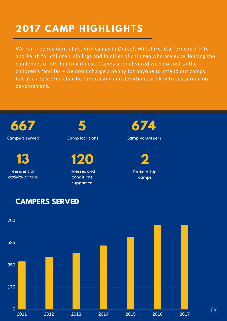## **2017 CAMP HIGHLIGHTS**

We run free residential activity camps in Dorset, Wiltshire, Staffordshire, Fife and Perth for children, siblings and families of children who are experiencing the challenges of life-limiting illness. Camps are delivered with no cost to the children's families – we don't charge a penny for anyone to attend our camps, but as a registered charity, fundraising and donations are key to sustaining our development.





[3]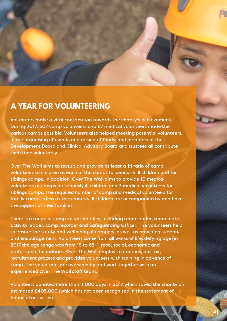

### **A YEAR FOR VOLUNTEERING**

Volunteers make a vital contribution towards the charity's achievements. During 2017, 607 camp volunteers and 67 medical volunteers made the various camps possible. Volunteers also helped meeting potential volunteers, in the organising of events and raising of funds, and members of the Development Board and Clinical Advisory Board and trustees all contribute their time voluntarily.

Over The Wall aims to recruit and provide at least a 1:1 ratio of camp volunteers to children at each of the camps for seriously ill children and for siblings camps. In addition, Over The Wall aims to provide 10 medical volunteers at camps for seriously ill children and 3 medical volunteers for siblings camps. The required number of camp and medical volunteers for family camps is less as the seriously ill children are accompanied by and have the support of their families.

There is a range of camp volunteer roles, including team leader, team mate, activity leader, camp recorder and Safeguarding Officer. The volunteers help to ensure the safety and wellbeing of campers, as well as providing support and encouragement. Volunteers come from all walks of life, defying age (in 2017 the age range was from 18 to 65+), race, social, economic and professional boundaries. Over The Wall employs a rigorous, but fair, recruitment process and provides volunteers with training in advance of camp. The volunteers are overseen by and work together with an experienced Over The Wall staff team.

Volunteers donated more than 4,000 days in 2017 which saved the charity an estimated £405,000 (which has not been recognised in the statement of financial activities).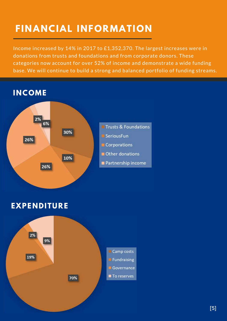## **FINANCIAL INFORMATION**

Income increased by 14% in 2017 to £1,352,370. The largest increases were in donations from trusts and foundations and from corporate donors. These categories now account for over 52% of income and demonstrate a wide funding base. We will continue to build a strong and balanced portfolio of funding streams.



### **EXPENDITURE**

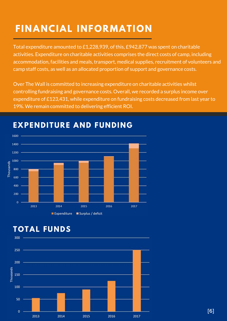## **FINANCIAL INFORMATION**

Total expenditure amounted to £1,228,939, of this, £942,877 was spent on charitable activities. Expenditure on charitable activities comprises the direct costs of camp, including accommodation, facilities and meals, transport, medical supplies, recruitment of volunteers and camp staff costs, as well as an allocated proportion of support and governance costs.

Over The Wall is committed to increasing expenditure on charitable activities whilst controlling fundraising and governance costs. Overall, we recorded a surplus income over expenditure of £123,431, while expenditure on fundraising costs decreased from last year to 19%. We remain committed to delivering efficient ROI.



## **EXPENDITURE AND FUNDING**

## **TOTAL FUNDS**

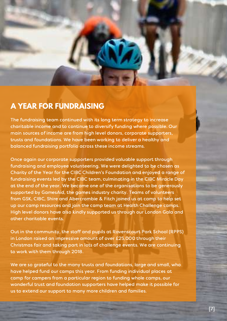

#### **A YEAR FOR FUNDRAISING**

The fundraising team continued with its long term strategy to increase charitable income and to continue to diversify funding where possible. Our main sources of income are from high level donors, corporate supporters, trusts and foundations. We have been working to deliver a healthy and balanced fundraising portfolio across these income streams.

Once again our corporate supporters provided valuable support through fundraising and employee volunteering. We were delighted to be chosen as Charity of the Year for the CIBC Children's Foundation and enjoyed a range of fundraising events led by the CIBC team, culminating in the CIBC Miracle Day at the end of the year. We became one of the organisations to be generously supported by GamesAid, the games industry charity. Teams of volunteers from GSK, CIBC, Shire and Abercrombie & Fitch joined us at camp to help set up our camp resources and join the camp team at Health Challenge camps. High level donors have also kindly supported us through our London Gala and other charitable events.

Out in the community, the staff and pupils at Ravenscourt Park School (RPPS) in London raised an impressive amount of over £25,000 through their Christmas fair and taking part in lots of challenge events. We are continuing to work with them through 2018.

We are so grateful to the many trusts and foundations, large and small, who have helped fund our camps this year. From funding individual places at camp for campers from a particular region to funding whole camps, our wonderful trust and foundation supporters have helped make it possible for us to extend our support to many more children and families.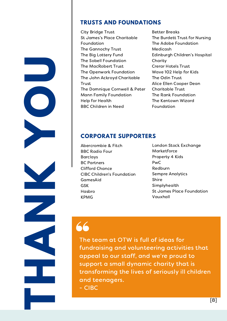#### **TRUSTS AND FOUNDATIONS**

- City Bridge Trust St James's Place Charitable Foundation The Gannochy Trust The Big Lottery Fund The Sobell Foundation The MacRobert Trust The Openwork Foundation The John Ackroyd Charitable **Trust** The Domnique Cornwell & Peter Mann Family Foundation Help for Health BBC Children in Need
- Better Breaks The Burdett Trust for Nursing The Adobe Foundation Medicash Edinburgh Children's Hospital Charity Crerar Hotels Trust Wave 102 Help for Kids The Odin Trust Alice Ellen Cooper Dean Charitable Trust The Rank Foundation The Kentown Wizard Foundation

## **Y CORPORATE SUPPORTERS**

- Hasbro Abercrombie & Fitch BBC Radio Four Barclays BC Partners Clifford Chance CIBC Children's Foundation GamesAid GSK KPMG
- London Stock Exchange Marketforce Property 4 Kids PwC Redburn Sempre Analytics Shire Simplyhealth St James Place Foundation Vauxhall

**T**

**H**

**N**

**K**

**O**

**U**

 - CIBC The t The team at OTW is full of ideas for fundraising and volunteering activities that appeal to our staff, and we're proud to support a small dynamic charity that is transforming the lives of seriously ill children and teenagers.